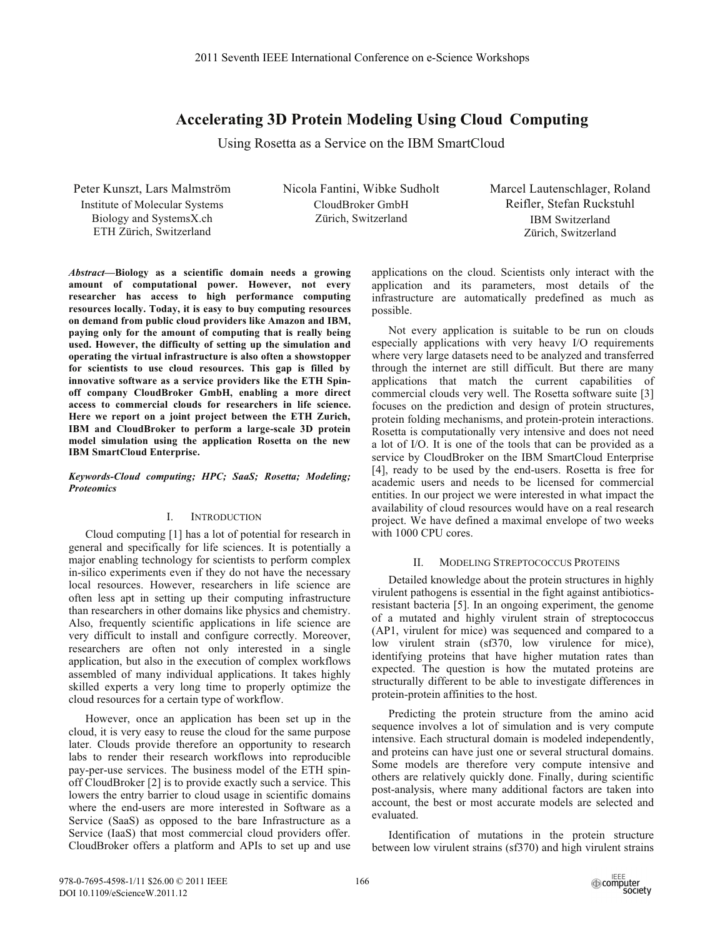# **Accelerating 3D Protein Modeling Using Cloud Computing**

Using Rosetta as a Service on the IBM SmartCloud

Peter Kunszt, Lars Malmström **Institute of Molecular Systems** Biology and SystemsX.ch ETH Zürich, Switzerland

Nicola Fantini, Wibke Sudholt CloudBroker GmbH Zürich, Switzerland

Marcel Lautenschlager, Roland Reifler, Stefan Ruckstuhl **IBM** Switzerland Zürich, Switzerland

Abstract-Biology as a scientific domain needs a growing amount of computational power. However, not every researcher has access to high performance computing resources locally. Today, it is easy to buy computing resources on demand from public cloud providers like Amazon and IBM, paying only for the amount of computing that is really being used. However, the difficulty of setting up the simulation and operating the virtual infrastructure is also often a showstopper for scientists to use cloud resources. This gap is filled by innovative software as a service providers like the ETH Spinoff company CloudBroker GmbH, enabling a more direct access to commercial clouds for researchers in life science. Here we report on a joint project between the ETH Zurich, IBM and CloudBroker to perform a large-scale 3D protein model simulation using the application Rosetta on the new **IBM SmartCloud Enterprise.** 

Keywords-Cloud computing; HPC; SaaS; Rosetta; Modeling; **Proteomics** 

#### $\mathbf{I}$ . **INTRODUCTION**

Cloud computing [1] has a lot of potential for research in general and specifically for life sciences. It is potentially a major enabling technology for scientists to perform complex in-silico experiments even if they do not have the necessary local resources. However, researchers in life science are often less apt in setting up their computing infrastructure than researchers in other domains like physics and chemistry. Also, frequently scientific applications in life science are very difficult to install and configure correctly. Moreover, researchers are often not only interested in a single application, but also in the execution of complex workflows assembled of many individual applications. It takes highly skilled experts a very long time to properly optimize the cloud resources for a certain type of workflow.

However, once an application has been set up in the cloud, it is very easy to reuse the cloud for the same purpose later. Clouds provide therefore an opportunity to research labs to render their research workflows into reproducible pay-per-use services. The business model of the ETH spinoff CloudBroker [2] is to provide exactly such a service. This lowers the entry barrier to cloud usage in scientific domains where the end-users are more interested in Software as a Service (SaaS) as opposed to the bare Infrastructure as a Service (IaaS) that most commercial cloud providers offer. CloudBroker offers a platform and APIs to set up and use

applications on the cloud. Scientists only interact with the application and its parameters, most details of the infrastructure are automatically predefined as much as possible.

Not every application is suitable to be run on clouds especially applications with very heavy I/O requirements where very large datasets need to be analyzed and transferred through the internet are still difficult. But there are many applications that match the current capabilities of commercial clouds very well. The Rosetta software suite [3] focuses on the prediction and design of protein structures. protein folding mechanisms, and protein-protein interactions. Rosetta is computationally very intensive and does not need a lot of I/O. It is one of the tools that can be provided as a service by CloudBroker on the IBM SmartCloud Enterprise [4], ready to be used by the end-users. Rosetta is free for academic users and needs to be licensed for commercial entities. In our project we were interested in what impact the availability of cloud resources would have on a real research project. We have defined a maximal envelope of two weeks with 1000 CPU cores.

#### **MODELING STREPTOCOCCUS PROTEINS**  $II$

Detailed knowledge about the protein structures in highly virulent pathogens is essential in the fight against antibioticsresistant bacteria [5]. In an ongoing experiment, the genome of a mutated and highly virulent strain of streptococcus (AP1, virulent for mice) was sequenced and compared to a low virulent strain (sf370, low virulence for mice), identifying proteins that have higher mutation rates than expected. The question is how the mutated proteins are structurally different to be able to investigate differences in protein-protein affinities to the host.

Predicting the protein structure from the amino acid sequence involves a lot of simulation and is very compute intensive. Each structural domain is modeled independently, and proteins can have just one or several structural domains. Some models are therefore very compute intensive and others are relatively quickly done. Finally, during scientific post-analysis, where many additional factors are taken into account, the best or most accurate models are selected and evaluated.

Identification of mutations in the protein structure between low virulent strains (sf370) and high virulent strains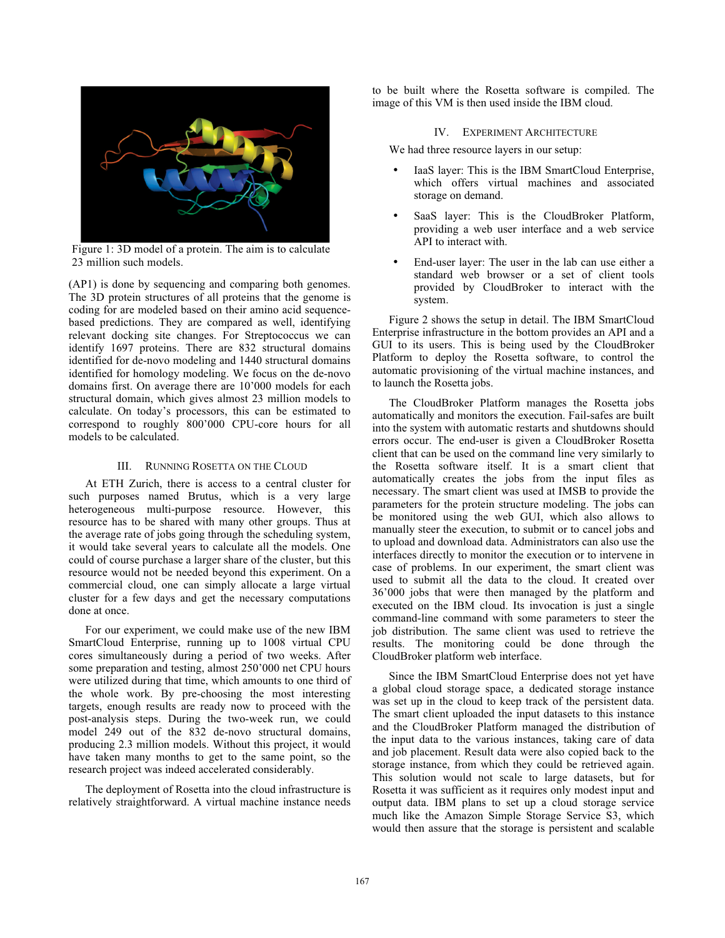

Figure 1: 3D model of a protein. The aim is to calculate 23 million such models.

(AP1) is done by sequencing and comparing both genomes. The 3D protein structures of all proteins that the genome is coding for are modeled based on their amino acid sequencebased predictions. They are compared as well, identifying relevant docking site changes. For Streptococcus we can identify 1697 proteins. There are 832 structural domains identified for de-novo modeling and 1440 structural domains identified for homology modeling. We focus on the de-novo domains first. On average there are 10'000 models for each structural domain, which gives almost 23 million models to calculate. On today's processors, this can be estimated to correspond to roughly 800'000 CPU-core hours for all models to be calculated.

### III. RUNNING ROSETTA ON THE CLOUD

At ETH Zurich, there is access to a central cluster for such purposes named Brutus, which is a very large heterogeneous multi-purpose resource. However, this resource has to be shared with many other groups. Thus at the average rate of jobs going through the scheduling system, it would take several years to calculate all the models. One could of course purchase a larger share of the cluster, but this resource would not be needed beyond this experiment. On a commercial cloud, one can simply allocate a large virtual cluster for a few days and get the necessary computations done at once.

For our experiment, we could make use of the new IBM SmartCloud Enterprise, running up to 1008 virtual CPU cores simultaneously during a period of two weeks. After some preparation and testing, almost 250'000 net CPU hours were utilized during that time, which amounts to one third of the whole work. By pre-choosing the most interesting targets, enough results are ready now to proceed with the post-analysis steps. During the two-week run, we could model 249 out of the 832 de-novo structural domains. producing 2.3 million models. Without this project, it would have taken many months to get to the same point, so the research project was indeed accelerated considerably.

The deployment of Rosetta into the cloud infrastructure is relatively straightforward. A virtual machine instance needs to be built where the Rosetta software is compiled. The image of this VM is then used inside the IBM cloud.

### **IV. EXPERIMENT ARCHITECTURE**

We had three resource layers in our setup:

- IaaS layer: This is the IBM SmartCloud Enterprise, which offers virtual machines and associated storage on demand.
- SaaS layer: This is the CloudBroker Platform, providing a web user interface and a web service API to interact with.
- End-user layer: The user in the lab can use either a standard web browser or a set of client tools provided by CloudBroker to interact with the system.

Figure 2 shows the setup in detail. The IBM SmartCloud Enterprise infrastructure in the bottom provides an API and a GUI to its users. This is being used by the CloudBroker Platform to deploy the Rosetta software, to control the automatic provisioning of the virtual machine instances, and to launch the Rosetta jobs.

The CloudBroker Platform manages the Rosetta jobs automatically and monitors the execution. Fail-safes are built into the system with automatic restarts and shutdowns should errors occur. The end-user is given a CloudBroker Rosetta client that can be used on the command line very similarly to the Rosetta software itself. It is a smart client that automatically creates the jobs from the input files as necessary. The smart client was used at IMSB to provide the parameters for the protein structure modeling. The jobs can be monitored using the web GUI, which also allows to manually steer the execution, to submit or to cancel jobs and to upload and download data. Administrators can also use the interfaces directly to monitor the execution or to intervene in case of problems. In our experiment, the smart client was used to submit all the data to the cloud. It created over 36'000 jobs that were then managed by the platform and executed on the IBM cloud. Its invocation is just a single command-line command with some parameters to steer the job distribution. The same client was used to retrieve the results. The monitoring could be done through the CloudBroker platform web interface.

Since the IBM SmartCloud Enterprise does not yet have a global cloud storage space, a dedicated storage instance was set up in the cloud to keep track of the persistent data. The smart client uploaded the input datasets to this instance and the CloudBroker Platform managed the distribution of the input data to the various instances, taking care of data and job placement. Result data were also copied back to the storage instance, from which they could be retrieved again. This solution would not scale to large datasets, but for Rosetta it was sufficient as it requires only modest input and output data. IBM plans to set up a cloud storage service much like the Amazon Simple Storage Service S3, which would then assure that the storage is persistent and scalable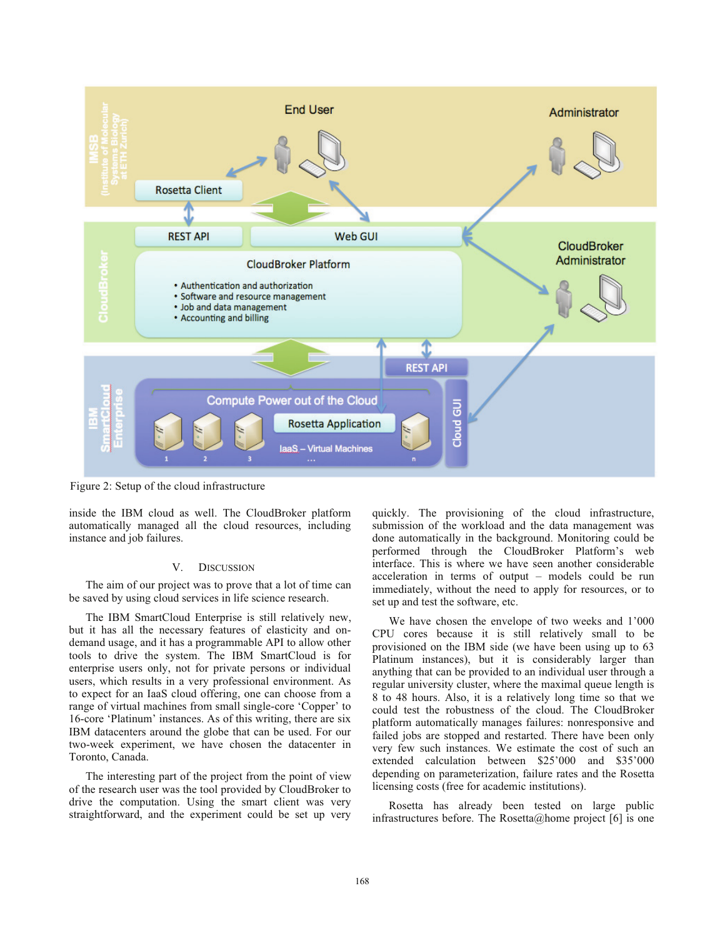

Figure 2: Setup of the cloud infrastructure

inside the IBM cloud as well. The CloudBroker platform automatically managed all the cloud resources, including instance and job failures.

#### V. **DISCUSSION**

The aim of our project was to prove that a lot of time can be saved by using cloud services in life science research.

The IBM SmartCloud Enterprise is still relatively new, but it has all the necessary features of elasticity and ondemand usage, and it has a programmable API to allow other tools to drive the system. The IBM SmartCloud is for enterprise users only, not for private persons or individual users, which results in a very professional environment. As to expect for an IaaS cloud offering, one can choose from a range of virtual machines from small single-core 'Copper' to 16-core 'Platinum' instances. As of this writing, there are six IBM datacenters around the globe that can be used. For our two-week experiment, we have chosen the datacenter in Toronto, Canada.

The interesting part of the project from the point of view of the research user was the tool provided by CloudBroker to drive the computation. Using the smart client was very straightforward, and the experiment could be set up very quickly. The provisioning of the cloud infrastructure, submission of the workload and the data management was done automatically in the background. Monitoring could be performed through the CloudBroker Platform's web interface. This is where we have seen another considerable acceleration in terms of output - models could be run immediately, without the need to apply for resources, or to set up and test the software, etc.

We have chosen the envelope of two weeks and 1'000 CPU cores because it is still relatively small to be provisioned on the IBM side (we have been using up to 63) Platinum instances), but it is considerably larger than anything that can be provided to an individual user through a regular university cluster, where the maximal queue length is 8 to 48 hours. Also, it is a relatively long time so that we could test the robustness of the cloud. The CloudBroker platform automatically manages failures: nonresponsive and failed jobs are stopped and restarted. There have been only very few such instances. We estimate the cost of such an extended calculation between \$25'000 and \$35'000 depending on parameterization, failure rates and the Rosetta licensing costs (free for academic institutions).

Rosetta has already been tested on large public infrastructures before. The Rosetta@home project [6] is one